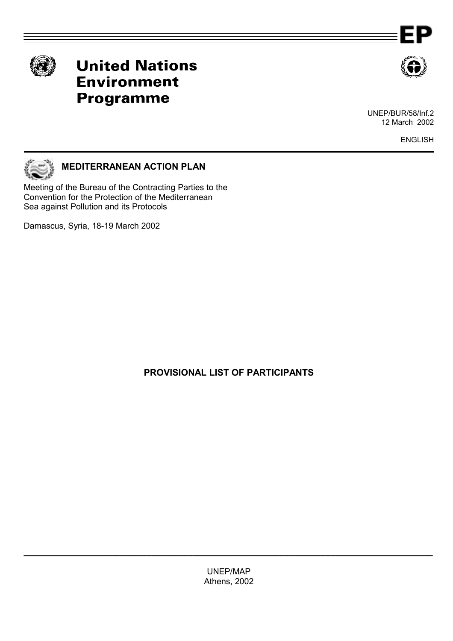



# **United Nations Environment Programme**



UNEP/BUR/58/Inf.2 12 March 2002

ENGLISH



# **MEDITERRANEAN ACTION PLAN**

Meeting of the Bureau of the Contracting Parties to the Convention for the Protection of the Mediterranean Sea against Pollution and its Protocols

Damascus, Syria, 18-19 March 2002

**PROVISIONAL LIST OF PARTICIPANTS** 

UNEP/MAP Athens, 2002

**\_\_\_\_\_\_\_\_\_\_\_\_\_\_\_\_\_\_\_\_\_\_\_\_\_\_\_\_\_\_\_\_\_\_\_\_\_\_\_\_\_\_\_\_\_\_\_\_\_\_\_\_\_\_\_\_\_\_\_\_\_\_\_\_\_\_\_\_\_\_\_\_\_\_\_\_\_\_\_\_**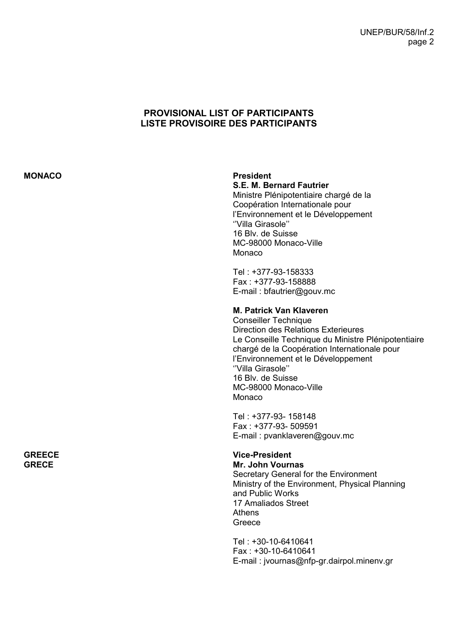# **PROVISIONAL LIST OF PARTICIPANTS LISTE PROVISOIRE DES PARTICIPANTS**

## **MONACO President**

**S.E. M. Bernard Fautrier** 

Ministre Plénipotentiaire chargé de la CoopÈration Internationale pour l'Environnement et le Développement "Villa Girasole" 16 Blv. de Suisse MC-98000 Monaco-Ville **Monaco** 

Tel : +377-93-158333 Fax : +377-93-158888 E-mail : bfautrier@gouv.mc

# **M. Patrick Van Klaveren**

Conseiller Technique Direction des Relations Exterieures Le Conseille Technique du Ministre Plénipotentiaire chargé de la Coopération Internationale pour l'Environnement et le Développement "Villa Girasole" 16 Blv. de Suisse MC-98000 Monaco-Ville **Monaco** 

Tel : +377-93- 158148 Fax : +377-93- 509591 E-mail : pvanklaveren@gouv.mc

# **Vice-President**

**Mr. John Vournas**  Secretary General for the Environment Ministry of the Environment, Physical Planning and Public Works 17 Amaliados Street Athens Greece

Tel : +30-10-6410641 Fax : +30-10-6410641 E-mail : jvournas@nfp-gr.dairpol.minenv.gr

#### **GREECE GRECE**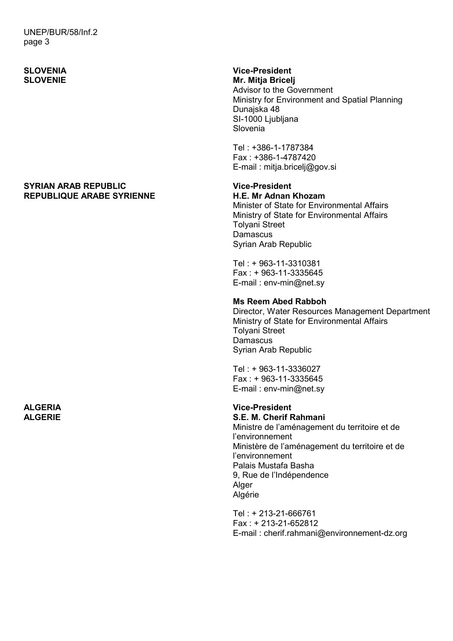UNEP/BUR/58/Inf.2 page 3

# **SLOVENIA SLOVENIE**

### **SYRIAN ARAB REPUBLIC REPUBLIQUE ARABE SYRIENNE**

**ALGERIA ALGERIE** 

# **Vice-President Mr. Mitja Bricelj**

Advisor to the Government Ministry for Environment and Spatial Planning Dunajska 48 SI-1000 Ljubljana Slovenia

Tel : +386-1-1787384 Fax : +386-1-4787420 E-mail : mitja.bricelj@gov.si

# **Vice-President**

**H.E. Mr Adnan Khozam**  Minister of State for Environmental Affairs Ministry of State for Environmental Affairs Tolyani Street **Damascus** Syrian Arab Republic

Tel : + 963-11-3310381 Fax : + 963-11-3335645 E-mail : env-min@net.sy

# **Ms Reem Abed Rabboh**

Director, Water Resources Management Department Ministry of State for Environmental Affairs Tolyani Street **Damascus** Syrian Arab Republic

Tel : + 963-11-3336027 Fax : + 963-11-3335645 E-mail : env-min@net.sy

# **Vice-President**

**S.E. M. Cherif Rahmani** 

Ministre de l'aménagement du territoire et de l'environnement Ministère de l'aménagement du territoire et de líenvironnement Palais Mustafa Basha 9, Rue de l'Indépendence Alger Algérie

Tel : + 213-21-666761 Fax : + 213-21-652812 E-mail : cherif.rahmani@environnement-dz.org